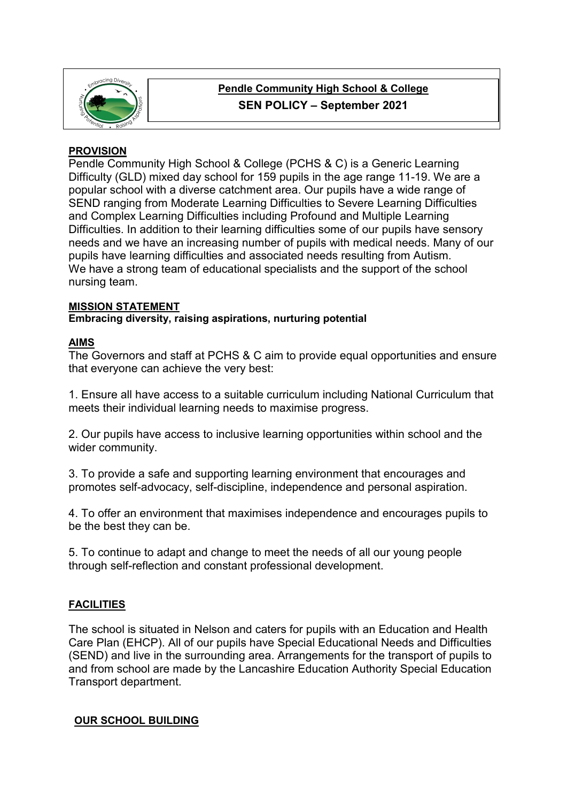

# **Pendle Community High School & College SEN POLICY – September 2021**

## **PROVISION**

Pendle Community High School & College (PCHS & C) is a Generic Learning Difficulty (GLD) mixed day school for 159 pupils in the age range 11-19. We are a popular school with a diverse catchment area. Our pupils have a wide range of SEND ranging from Moderate Learning Difficulties to Severe Learning Difficulties and Complex Learning Difficulties including Profound and Multiple Learning Difficulties. In addition to their learning difficulties some of our pupils have sensory needs and we have an increasing number of pupils with medical needs. Many of our pupils have learning difficulties and associated needs resulting from Autism. We have a strong team of educational specialists and the support of the school nursing team.

#### **MISSION STATEMENT**

**Embracing diversity, raising aspirations, nurturing potential**

## **AIMS**

The Governors and staff at PCHS & C aim to provide equal opportunities and ensure that everyone can achieve the very best:

1. Ensure all have access to a suitable curriculum including National Curriculum that meets their individual learning needs to maximise progress.

2. Our pupils have access to inclusive learning opportunities within school and the wider community.

3. To provide a safe and supporting learning environment that encourages and promotes self-advocacy, self-discipline, independence and personal aspiration.

4. To offer an environment that maximises independence and encourages pupils to be the best they can be.

5. To continue to adapt and change to meet the needs of all our young people through self-reflection and constant professional development.

# **FACILITIES**

The school is situated in Nelson and caters for pupils with an Education and Health Care Plan (EHCP). All of our pupils have Special Educational Needs and Difficulties (SEND) and live in the surrounding area. Arrangements for the transport of pupils to and from school are made by the Lancashire Education Authority Special Education Transport department.

## **OUR SCHOOL BUILDING**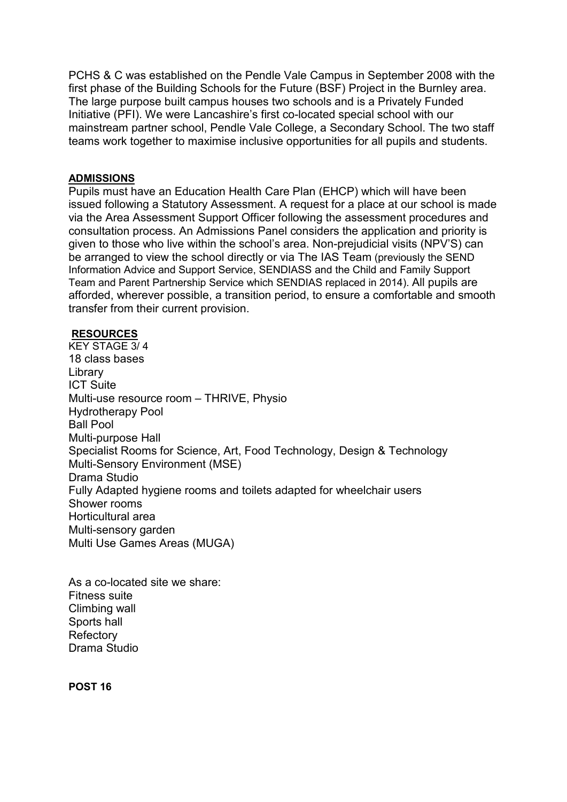PCHS & C was established on the Pendle Vale Campus in September 2008 with the first phase of the Building Schools for the Future (BSF) Project in the Burnley area. The large purpose built campus houses two schools and is a Privately Funded Initiative (PFI). We were Lancashire's first co-located special school with our mainstream partner school, Pendle Vale College, a Secondary School. The two staff teams work together to maximise inclusive opportunities for all pupils and students.

#### **ADMISSIONS**

Pupils must have an Education Health Care Plan (EHCP) which will have been issued following a Statutory Assessment. A request for a place at our school is made via the Area Assessment Support Officer following the assessment procedures and consultation process. An Admissions Panel considers the application and priority is given to those who live within the school's area. Non-prejudicial visits (NPV'S) can be arranged to view the school directly or via The IAS Team (previously the SEND Information Advice and Support Service, SENDIASS and the Child and Family Support Team and Parent Partnership Service which SENDIAS replaced in 2014). All pupils are afforded, wherever possible, a transition period, to ensure a comfortable and smooth transfer from their current provision.

#### **RESOURCES**

KEY STAGE 3/ 4 18 class bases Library ICT Suite Multi-use resource room – THRIVE, Physio Hydrotherapy Pool Ball Pool Multi-purpose Hall Specialist Rooms for Science, Art, Food Technology, Design & Technology Multi-Sensory Environment (MSE) Drama Studio Fully Adapted hygiene rooms and toilets adapted for wheelchair users Shower rooms Horticultural area Multi-sensory garden Multi Use Games Areas (MUGA)

As a co-located site we share: Fitness suite Climbing wall Sports hall **Refectory** Drama Studio

**POST 16**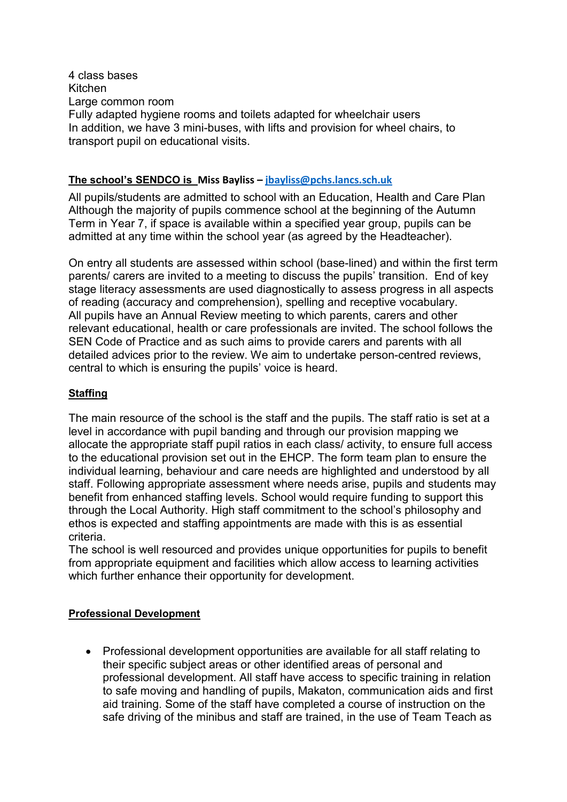4 class bases Kitchen Large common room Fully adapted hygiene rooms and toilets adapted for wheelchair users In addition, we have 3 mini-buses, with lifts and provision for wheel chairs, to transport pupil on educational visits.

#### **The school's SENDCO is Miss Bayliss – [jbayliss@pchs.lancs.sch.uk](mailto:jbayliss@pchs.lancs.sch.uk)**

All pupils/students are admitted to school with an Education, Health and Care Plan Although the majority of pupils commence school at the beginning of the Autumn Term in Year 7, if space is available within a specified year group, pupils can be admitted at any time within the school year (as agreed by the Headteacher).

On entry all students are assessed within school (base-lined) and within the first term parents/ carers are invited to a meeting to discuss the pupils' transition. End of key stage literacy assessments are used diagnostically to assess progress in all aspects of reading (accuracy and comprehension), spelling and receptive vocabulary. All pupils have an Annual Review meeting to which parents, carers and other relevant educational, health or care professionals are invited. The school follows the SEN Code of Practice and as such aims to provide carers and parents with all detailed advices prior to the review. We aim to undertake person-centred reviews, central to which is ensuring the pupils' voice is heard.

## **Staffing**

The main resource of the school is the staff and the pupils. The staff ratio is set at a level in accordance with pupil banding and through our provision mapping we allocate the appropriate staff pupil ratios in each class/ activity, to ensure full access to the educational provision set out in the EHCP. The form team plan to ensure the individual learning, behaviour and care needs are highlighted and understood by all staff. Following appropriate assessment where needs arise, pupils and students may benefit from enhanced staffing levels. School would require funding to support this through the Local Authority. High staff commitment to the school's philosophy and ethos is expected and staffing appointments are made with this is as essential criteria.

The school is well resourced and provides unique opportunities for pupils to benefit from appropriate equipment and facilities which allow access to learning activities which further enhance their opportunity for development.

## **Professional Development**

• Professional development opportunities are available for all staff relating to their specific subject areas or other identified areas of personal and professional development. All staff have access to specific training in relation to safe moving and handling of pupils, Makaton, communication aids and first aid training. Some of the staff have completed a course of instruction on the safe driving of the minibus and staff are trained, in the use of Team Teach as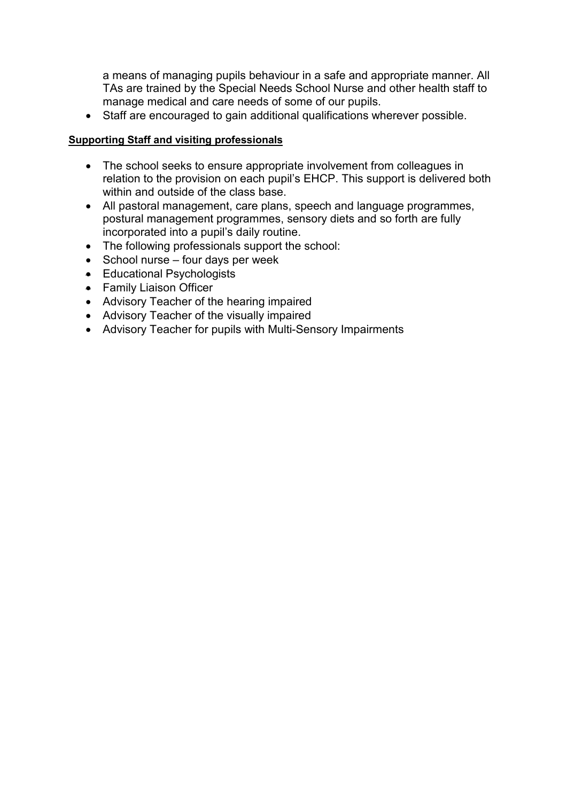a means of managing pupils behaviour in a safe and appropriate manner. All TAs are trained by the Special Needs School Nurse and other health staff to manage medical and care needs of some of our pupils.

• Staff are encouraged to gain additional qualifications wherever possible.

#### **Supporting Staff and visiting professionals**

- The school seeks to ensure appropriate involvement from colleagues in relation to the provision on each pupil's EHCP. This support is delivered both within and outside of the class base.
- All pastoral management, care plans, speech and language programmes, postural management programmes, sensory diets and so forth are fully incorporated into a pupil's daily routine.
- The following professionals support the school:
- School nurse four days per week
- Educational Psychologists
- Family Liaison Officer
- Advisory Teacher of the hearing impaired
- Advisory Teacher of the visually impaired
- Advisory Teacher for pupils with Multi-Sensory Impairments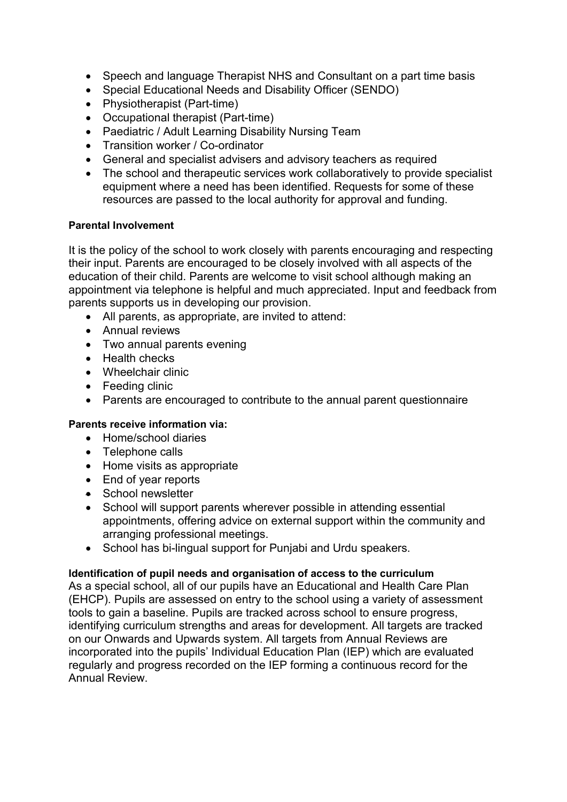- Speech and language Therapist NHS and Consultant on a part time basis
- Special Educational Needs and Disability Officer (SENDO)
- Physiotherapist (Part-time)
- Occupational therapist (Part-time)
- Paediatric / Adult Learning Disability Nursing Team
- Transition worker / Co-ordinator
- General and specialist advisers and advisory teachers as required
- The school and therapeutic services work collaboratively to provide specialist equipment where a need has been identified. Requests for some of these resources are passed to the local authority for approval and funding.

## **Parental Involvement**

It is the policy of the school to work closely with parents encouraging and respecting their input. Parents are encouraged to be closely involved with all aspects of the education of their child. Parents are welcome to visit school although making an appointment via telephone is helpful and much appreciated. Input and feedback from parents supports us in developing our provision.

- All parents, as appropriate, are invited to attend:
- Annual reviews
- Two annual parents evening
- Health checks
- Wheelchair clinic
- Feeding clinic
- Parents are encouraged to contribute to the annual parent questionnaire

## **Parents receive information via:**

- Home/school diaries
- Telephone calls
- Home visits as appropriate
- End of year reports
- School newsletter
- School will support parents wherever possible in attending essential appointments, offering advice on external support within the community and arranging professional meetings.
- School has bi-lingual support for Punjabi and Urdu speakers.

## **Identification of pupil needs and organisation of access to the curriculum**

As a special school, all of our pupils have an Educational and Health Care Plan (EHCP). Pupils are assessed on entry to the school using a variety of assessment tools to gain a baseline. Pupils are tracked across school to ensure progress, identifying curriculum strengths and areas for development. All targets are tracked on our Onwards and Upwards system. All targets from Annual Reviews are incorporated into the pupils' Individual Education Plan (IEP) which are evaluated regularly and progress recorded on the IEP forming a continuous record for the Annual Review.